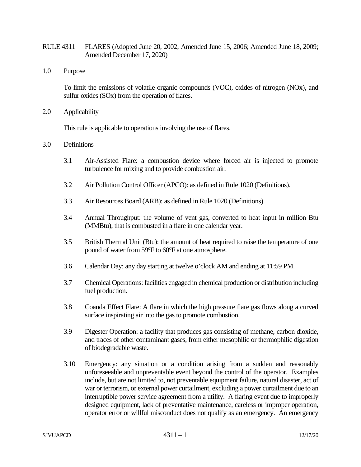- RULE 4311 FLARES (Adopted June 20, 2002; Amended June 15, 2006; Amended June 18, 2009; Amended December 17, 2020)
- 1.0 Purpose

To limit the emissions of volatile organic compounds (VOC), oxides of nitrogen (NOx), and sulfur oxides (SOx) from the operation of flares.

2.0 Applicability

This rule is applicable to operations involving the use of flares.

- 3.0 Definitions
	- 3.1 Air-Assisted Flare: a combustion device where forced air is injected to promote turbulence for mixing and to provide combustion air.
	- 3.2 Air Pollution Control Officer (APCO): as defined in Rule 1020 (Definitions).
	- 3.3 Air Resources Board (ARB): as defined in Rule 1020 (Definitions).
	- 3.4 Annual Throughput: the volume of vent gas, converted to heat input in million Btu (MMBtu), that is combusted in a flare in one calendar year.
	- 3.5 British Thermal Unit (Btu): the amount of heat required to raise the temperature of one pound of water from 59°F to 60°F at one atmosphere.
	- 3.6 Calendar Day: any day starting at twelve o'clock AM and ending at 11:59 PM.
	- 3.7 Chemical Operations: facilities engaged in chemical production or distribution including fuel production.
	- 3.8 Coanda Effect Flare: A flare in which the high pressure flare gas flows along a curved surface inspirating air into the gas to promote combustion.
	- 3.9 Digester Operation: a facility that produces gas consisting of methane, carbon dioxide, and traces of other contaminant gases, from either mesophilic or thermophilic digestion of biodegradable waste.
	- 3.10 Emergency: any situation or a condition arising from a sudden and reasonably unforeseeable and unpreventable event beyond the control of the operator. Examples include, but are not limited to, not preventable equipment failure, natural disaster, act of war or terrorism, or external power curtailment, excluding a power curtailment due to an interruptible power service agreement from a utility. A flaring event due to improperly designed equipment, lack of preventative maintenance, careless or improper operation, operator error or willful misconduct does not qualify as an emergency. An emergency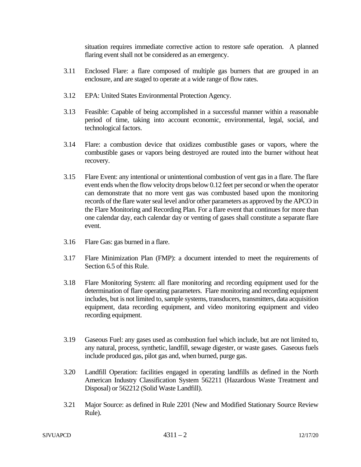situation requires immediate corrective action to restore safe operation. A planned flaring event shall not be considered as an emergency.

- 3.11 Enclosed Flare: a flare composed of multiple gas burners that are grouped in an enclosure, and are staged to operate at a wide range of flow rates.
- 3.12 EPA: United States Environmental Protection Agency.
- 3.13 Feasible: Capable of being accomplished in a successful manner within a reasonable period of time, taking into account economic, environmental, legal, social, and technological factors.
- 3.14 Flare: a combustion device that oxidizes combustible gases or vapors, where the combustible gases or vapors being destroyed are routed into the burner without heat recovery.
- 3.15 Flare Event: any intentional or unintentional combustion of vent gas in a flare. The flare event ends when the flow velocity drops below 0.12 feet per second or when the operator can demonstrate that no more vent gas was combusted based upon the monitoring records of the flare water seal level and/or other parameters as approved by the APCO in the Flare Monitoring and Recording Plan. For a flare event that continues for more than one calendar day, each calendar day or venting of gases shall constitute a separate flare event.
- 3.16 Flare Gas: gas burned in a flare.
- 3.17 Flare Minimization Plan (FMP): a document intended to meet the requirements of Section 6.5 of this Rule.
- 3.18 Flare Monitoring System: all flare monitoring and recording equipment used for the determination of flare operating parameters. Flare monitoring and recording equipment includes, but is not limited to, sample systems, transducers, transmitters, data acquisition equipment, data recording equipment, and video monitoring equipment and video recording equipment.
- 3.19 Gaseous Fuel: any gases used as combustion fuel which include, but are not limited to, any natural, process, synthetic, landfill, sewage digester, or waste gases. Gaseous fuels include produced gas, pilot gas and, when burned, purge gas.
- 3.20 Landfill Operation: facilities engaged in operating landfills as defined in the North American Industry Classification System 562211 (Hazardous Waste Treatment and Disposal) or 562212 (Solid Waste Landfill).
- 3.21 Major Source: as defined in Rule 2201 (New and Modified Stationary Source Review Rule).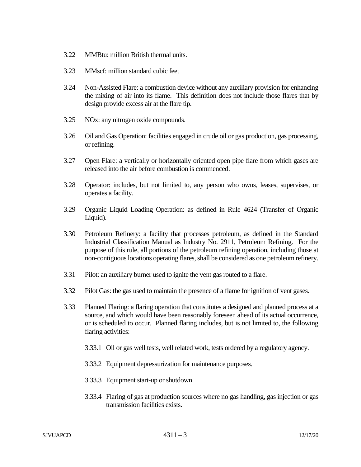- 3.22 MMBtu: million British thermal units.
- 3.23 MMscf: million standard cubic feet
- 3.24 Non-Assisted Flare: a combustion device without any auxiliary provision for enhancing the mixing of air into its flame. This definition does not include those flares that by design provide excess air at the flare tip.
- 3.25 NOx: any nitrogen oxide compounds.
- 3.26 Oil and Gas Operation: facilities engaged in crude oil or gas production, gas processing, or refining.
- 3.27 Open Flare: a vertically or horizontally oriented open pipe flare from which gases are released into the air before combustion is commenced.
- 3.28 Operator: includes, but not limited to, any person who owns, leases, supervises, or operates a facility.
- 3.29 Organic Liquid Loading Operation: as defined in Rule 4624 (Transfer of Organic Liquid).
- 3.30 Petroleum Refinery: a facility that processes petroleum, as defined in the Standard Industrial Classification Manual as Industry No. 2911, Petroleum Refining. For the purpose of this rule, all portions of the petroleum refining operation, including those at non-contiguous locations operating flares, shall be considered as one petroleum refinery.
- 3.31 Pilot: an auxiliary burner used to ignite the vent gas routed to a flare.
- 3.32 Pilot Gas: the gas used to maintain the presence of a flame for ignition of vent gases.
- 3.33 Planned Flaring: a flaring operation that constitutes a designed and planned process at a source, and which would have been reasonably foreseen ahead of its actual occurrence, or is scheduled to occur. Planned flaring includes, but is not limited to, the following flaring activities:
	- 3.33.1 Oil or gas well tests, well related work, tests ordered by a regulatory agency.
	- 3.33.2 Equipment depressurization for maintenance purposes.
	- 3.33.3 Equipment start-up or shutdown.
	- 3.33.4 Flaring of gas at production sources where no gas handling, gas injection or gas transmission facilities exists.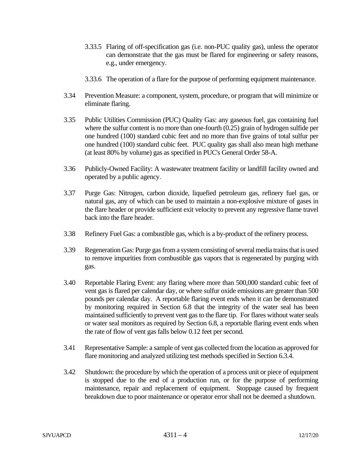- 3.33.5 Flaring of off-specification gas (i.e. non-PUC quality gas), unless the operator can demonstrate that the gas must be flared for engineering or safety reasons, e.g., under emergency.
- 3.33.6 The operation of a flare for the purpose of performing equipment maintenance.
- 3.34 Prevention Measure: a component, system, procedure, or program that will minimize or eliminate flaring.
- 3.35 Public Utilities Commission (PUC) Quality Gas: any gaseous fuel, gas containing fuel where the sulfur content is no more than one-fourth (0.25) grain of hydrogen sulfide per one hundred (100) standard cubic feet and no more than five grains of total sulfur per one hundred (100) standard cubic feet. PUC quality gas shall also mean high methane (at least 80% by volume) gas as specified in PUC's General Order 58-A.
- 3.36 Publicly-Owned Facility: A wastewater treatment facility or landfill facility owned and operated by a public agency.
- 3.37 Purge Gas: Nitrogen, carbon dioxide, liquefied petroleum gas, refinery fuel gas, or natural gas, any of which can be used to maintain a non-explosive mixture of gases in the flare header or provide sufficient exit velocity to prevent any regressive flame travel back into the flare header.
- 3.38 Refinery Fuel Gas: a combustible gas, which is a by-product of the refinery process.
- 3.39 Regeneration Gas: Purge gas from a system consisting of several media trains that is used to remove impurities from combustible gas vapors that is regenerated by purging with gas.
- 3.40 Reportable Flaring Event: any flaring where more than 500,000 standard cubic feet of vent gas is flared per calendar day, or where sulfur oxide emissions are greater than 500 pounds per calendar day. A reportable flaring event ends when it can be demonstrated by monitoring required in Section 6.8 that the integrity of the water seal has been maintained sufficiently to prevent vent gas to the flare tip. For flares without water seals or water seal monitors as required by Section 6.8, a reportable flaring event ends when the rate of flow of vent gas falls below 0.12 feet per second.
- 3.41 Representative Sample: a sample of vent gas collected from the location as approved for flare monitoring and analyzed utilizing test methods specified in Section 6.3.4.
- 3.42 Shutdown: the procedure by which the operation of a process unit or piece of equipment is stopped due to the end of a production run, or for the purpose of performing maintenance, repair and replacement of equipment. Stoppage caused by frequent breakdown due to poor maintenance or operator error shall not be deemed a shutdown.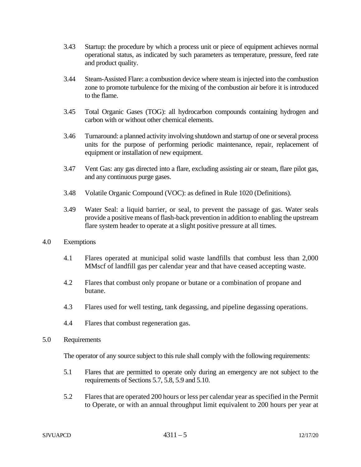- 3.43 Startup: the procedure by which a process unit or piece of equipment achieves normal operational status, as indicated by such parameters as temperature, pressure, feed rate and product quality.
- 3.44 Steam-Assisted Flare: a combustion device where steam is injected into the combustion zone to promote turbulence for the mixing of the combustion air before it is introduced to the flame.
- 3.45 Total Organic Gases (TOG): all hydrocarbon compounds containing hydrogen and carbon with or without other chemical elements.
- 3.46 Turnaround: a planned activity involving shutdown and startup of one or several process units for the purpose of performing periodic maintenance, repair, replacement of equipment or installation of new equipment.
- 3.47 Vent Gas: any gas directed into a flare, excluding assisting air or steam, flare pilot gas, and any continuous purge gases.
- 3.48 Volatile Organic Compound (VOC): as defined in Rule 1020 (Definitions).
- 3.49 Water Seal: a liquid barrier, or seal, to prevent the passage of gas. Water seals provide a positive means of flash-back prevention in addition to enabling the upstream flare system header to operate at a slight positive pressure at all times.
- 4.0 Exemptions
	- 4.1 Flares operated at municipal solid waste landfills that combust less than 2,000 MMscf of landfill gas per calendar year and that have ceased accepting waste.
	- 4.2 Flares that combust only propane or butane or a combination of propane and butane.
	- 4.3 Flares used for well testing, tank degassing, and pipeline degassing operations.
	- 4.4 Flares that combust regeneration gas.
- 5.0 Requirements

The operator of any source subject to this rule shall comply with the following requirements:

- 5.1 Flares that are permitted to operate only during an emergency are not subject to the requirements of Sections 5.7, 5.8, 5.9 and 5.10.
- 5.2 Flares that are operated 200 hours or less per calendar year as specified in the Permit to Operate, or with an annual throughput limit equivalent to 200 hours per year at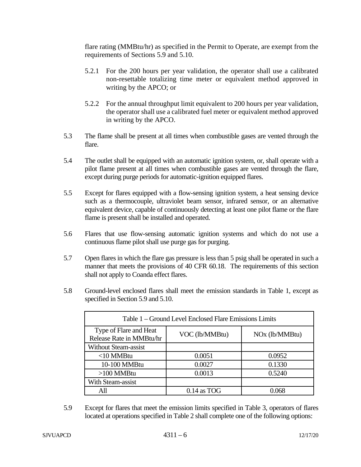flare rating (MMBtu/hr) as specified in the Permit to Operate, are exempt from the requirements of Sections 5.9 and 5.10.

- 5.2.1 For the 200 hours per year validation, the operator shall use a calibrated non-resettable totalizing time meter or equivalent method approved in writing by the APCO; or
- 5.2.2 For the annual throughput limit equivalent to 200 hours per year validation, the operator shall use a calibrated fuel meter or equivalent method approved in writing by the APCO.
- 5.3 The flame shall be present at all times when combustible gases are vented through the flare.
- 5.4 The outlet shall be equipped with an automatic ignition system, or, shall operate with a pilot flame present at all times when combustible gases are vented through the flare, except during purge periods for automatic-ignition equipped flares.
- 5.5 Except for flares equipped with a flow-sensing ignition system, a heat sensing device such as a thermocouple, ultraviolet beam sensor, infrared sensor, or an alternative equivalent device, capable of continuously detecting at least one pilot flame or the flare flame is present shall be installed and operated.
- 5.6 Flares that use flow-sensing automatic ignition systems and which do not use a continuous flame pilot shall use purge gas for purging.
- 5.7 Open flares in which the flare gas pressure is less than 5 psig shall be operated in such a manner that meets the provisions of 40 CFR 60.18. The requirements of this section shall not apply to Coanda effect flares.
- 5.8 Ground-level enclosed flares shall meet the emission standards in Table 1, except as specified in Section 5.9 and 5.10.

| Table 1 – Ground Level Enclosed Flare Emissions Limits |                |                  |  |
|--------------------------------------------------------|----------------|------------------|--|
| Type of Flare and Heat<br>Release Rate in MMBtu/hr     | VOC (lb/MMBtu) | $NOx$ (lb/MMBtu) |  |
| <b>Without Steam-assist</b>                            |                |                  |  |
| $<$ 10 MMBtu                                           | 0.0051         | 0.0952           |  |
| 10-100 MMBtu                                           | 0.0027         | 0.1330           |  |
| $>100$ MMBtu                                           | 0.0013         | 0.5240           |  |
| With Steam-assist                                      |                |                  |  |
| All                                                    | $0.14$ as TOG  | 0.068            |  |

5.9 Except for flares that meet the emission limits specified in Table 3, operators of flares located at operations specified in Table 2 shall complete one of the following options: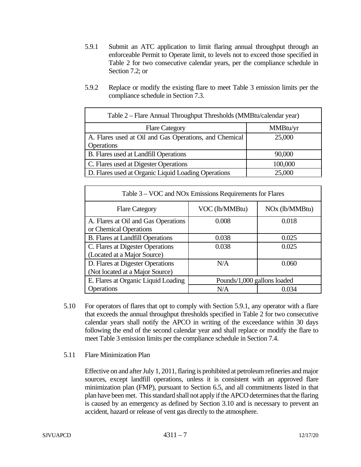- 5.9.1 Submit an ATC application to limit flaring annual throughput through an enforceable Permit to Operate limit, to levels not to exceed those specified in Table 2 for two consecutive calendar years, per the compliance schedule in Section 7.2; or
- 5.9.2 Replace or modify the existing flare to meet Table 3 emission limits per the compliance schedule in Section 7.3.

| Table 2 - Flare Annual Throughput Thresholds (MMBtu/calendar year)          |          |
|-----------------------------------------------------------------------------|----------|
| <b>Flare Category</b>                                                       | MMBtu/yr |
| A. Flares used at Oil and Gas Operations, and Chemical<br><b>Operations</b> | 25,000   |
| B. Flares used at Landfill Operations                                       | 90,000   |
| C. Flares used at Digester Operations                                       | 100,000  |
| D. Flares used at Organic Liquid Loading Operations                         | 25,000   |

| Table 3 – VOC and NOx Emissions Requirements for Flares             |                             |                            |
|---------------------------------------------------------------------|-----------------------------|----------------------------|
| <b>Flare Category</b>                                               | VOC (lb/MMBtu)              | NO <sub>x</sub> (lb/MMBtu) |
| A. Flares at Oil and Gas Operations<br>or Chemical Operations       | 0.008                       | 0.018                      |
| <b>B.</b> Flares at Landfill Operations                             | 0.038                       | 0.025                      |
| C. Flares at Digester Operations<br>(Located at a Major Source)     | 0.038                       | 0.025                      |
| D. Flares at Digester Operations<br>(Not located at a Major Source) | N/A                         | 0.060                      |
| E. Flares at Organic Liquid Loading                                 | Pounds/1,000 gallons loaded |                            |
| Operations                                                          | N/A                         | 0.034                      |

- 5.10 For operators of flares that opt to comply with Section 5.9.1, any operator with a flare that exceeds the annual throughput thresholds specified in Table 2 for two consecutive calendar years shall notify the APCO in writing of the exceedance within 30 days following the end of the second calendar year and shall replace or modify the flare to meet Table 3 emission limits per the compliance schedule in Section 7.4.
- 5.11 Flare Minimization Plan

Effective on and after July 1, 2011, flaring is prohibited at petroleum refineries and major sources, except landfill operations, unless it is consistent with an approved flare minimization plan (FMP), pursuant to Section 6.5, and all commitments listed in that plan have been met. This standard shall not apply if the APCO determines that the flaring is caused by an emergency as defined by Section 3.10 and is necessary to prevent an accident, hazard or release of vent gas directly to the atmosphere.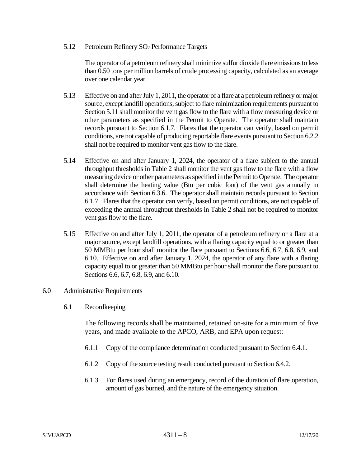5.12 Petroleum Refinery SO2 Performance Targets

The operator of a petroleum refinery shall minimize sulfur dioxide flare emissions to less than 0.50 tons per million barrels of crude processing capacity, calculated as an average over one calendar year.

- 5.13 Effective on and after July 1, 2011, the operator of a flare at a petroleum refinery or major source, except landfill operations, subject to flare minimization requirements pursuant to Section 5.11 shall monitor the vent gas flow to the flare with a flow measuring device or other parameters as specified in the Permit to Operate. The operator shall maintain records pursuant to Section 6.1.7. Flares that the operator can verify, based on permit conditions, are not capable of producing reportable flare events pursuant to Section 6.2.2 shall not be required to monitor vent gas flow to the flare.
- 5.14 Effective on and after January 1, 2024, the operator of a flare subject to the annual throughput thresholds in Table 2 shall monitor the vent gas flow to the flare with a flow measuring device or other parameters as specified in the Permit to Operate. The operator shall determine the heating value (Btu per cubic foot) of the vent gas annually in accordance with Section 6.3.6. The operator shall maintain records pursuant to Section 6.1.7. Flares that the operator can verify, based on permit conditions, are not capable of exceeding the annual throughput thresholds in Table 2 shall not be required to monitor vent gas flow to the flare.
- 5.15 Effective on and after July 1, 2011, the operator of a petroleum refinery or a flare at a major source, except landfill operations, with a flaring capacity equal to or greater than 50 MMBtu per hour shall monitor the flare pursuant to Sections 6.6, 6.7, 6.8, 6.9, and 6.10. Effective on and after January 1, 2024, the operator of any flare with a flaring capacity equal to or greater than 50 MMBtu per hour shall monitor the flare pursuant to Sections 6.6, 6.7, 6.8, 6.9, and 6.10.

#### 6.0 Administrative Requirements

6.1 Recordkeeping

The following records shall be maintained, retained on-site for a minimum of five years, and made available to the APCO, ARB, and EPA upon request:

- 6.1.1 Copy of the compliance determination conducted pursuant to Section 6.4.1.
- 6.1.2 Copy of the source testing result conducted pursuant to Section 6.4.2.
- 6.1.3 For flares used during an emergency, record of the duration of flare operation, amount of gas burned, and the nature of the emergency situation.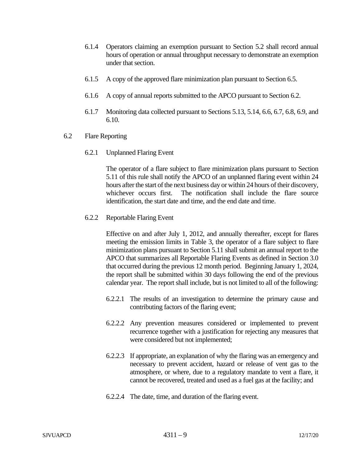- 6.1.4 Operators claiming an exemption pursuant to Section 5.2 shall record annual hours of operation or annual throughput necessary to demonstrate an exemption under that section.
- 6.1.5 A copy of the approved flare minimization plan pursuant to Section 6.5.
- 6.1.6 A copy of annual reports submitted to the APCO pursuant to Section 6.2.
- 6.1.7 Monitoring data collected pursuant to Sections 5.13, 5.14, 6.6, 6.7, 6.8, 6.9, and 6.10.
- 6.2 Flare Reporting
	- 6.2.1 Unplanned Flaring Event

The operator of a flare subject to flare minimization plans pursuant to Section 5.11 of this rule shall notify the APCO of an unplanned flaring event within 24 hours after the start of the next business day or within 24 hours of their discovery, whichever occurs first. The notification shall include the flare source identification, the start date and time, and the end date and time.

6.2.2 Reportable Flaring Event

Effective on and after July 1, 2012, and annually thereafter, except for flares meeting the emission limits in Table 3, the operator of a flare subject to flare minimization plans pursuant to Section 5.11 shall submit an annual report to the APCO that summarizes all Reportable Flaring Events as defined in Section 3.0 that occurred during the previous 12 month period. Beginning January 1, 2024, the report shall be submitted within 30 days following the end of the previous calendar year. The report shall include, but is not limited to all of the following:

- 6.2.2.1 The results of an investigation to determine the primary cause and contributing factors of the flaring event;
- 6.2.2.2 Any prevention measures considered or implemented to prevent recurrence together with a justification for rejecting any measures that were considered but not implemented;
- 6.2.2.3 If appropriate, an explanation of why the flaring was an emergency and necessary to prevent accident, hazard or release of vent gas to the atmosphere, or where, due to a regulatory mandate to vent a flare, it cannot be recovered, treated and used as a fuel gas at the facility; and
- 6.2.2.4 The date, time, and duration of the flaring event.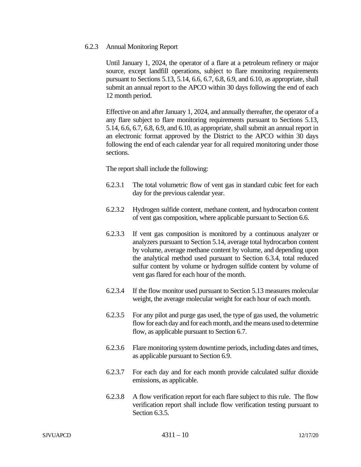### 6.2.3 Annual Monitoring Report

Until January 1, 2024, the operator of a flare at a petroleum refinery or major source, except landfill operations, subject to flare monitoring requirements pursuant to Sections 5.13, 5.14, 6.6, 6.7, 6.8, 6.9, and 6.10, as appropriate, shall submit an annual report to the APCO within 30 days following the end of each 12 month period.

Effective on and after January 1, 2024, and annually thereafter, the operator of a any flare subject to flare monitoring requirements pursuant to Sections 5.13, 5.14, 6.6, 6.7, 6.8, 6.9, and 6.10, as appropriate, shall submit an annual report in an electronic format approved by the District to the APCO within 30 days following the end of each calendar year for all required monitoring under those sections.

The report shall include the following:

- 6.2.3.1 The total volumetric flow of vent gas in standard cubic feet for each day for the previous calendar year.
- 6.2.3.2 Hydrogen sulfide content, methane content, and hydrocarbon content of vent gas composition, where applicable pursuant to Section 6.6.
- 6.2.3.3 If vent gas composition is monitored by a continuous analyzer or analyzers pursuant to Section 5.14, average total hydrocarbon content by volume, average methane content by volume, and depending upon the analytical method used pursuant to Section 6.3.4, total reduced sulfur content by volume or hydrogen sulfide content by volume of vent gas flared for each hour of the month.
- 6.2.3.4 If the flow monitor used pursuant to Section 5.13 measures molecular weight, the average molecular weight for each hour of each month.
- 6.2.3.5 For any pilot and purge gas used, the type of gas used, the volumetric flow for each day and for each month, and the means used to determine flow, as applicable pursuant to Section 6.7.
- 6.2.3.6 Flare monitoring system downtime periods, including dates and times, as applicable pursuant to Section 6.9.
- 6.2.3.7 For each day and for each month provide calculated sulfur dioxide emissions, as applicable.
- 6.2.3.8 A flow verification report for each flare subject to this rule. The flow verification report shall include flow verification testing pursuant to Section 6.3.5.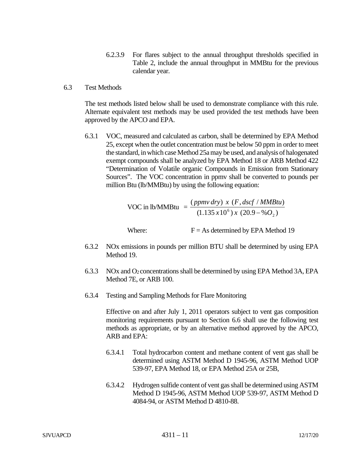- 6.2.3.9 For flares subject to the annual throughput thresholds specified in Table 2, include the annual throughput in MMBtu for the previous calendar year.
- 6.3 Test Methods

The test methods listed below shall be used to demonstrate compliance with this rule. Alternate equivalent test methods may be used provided the test methods have been approved by the APCO and EPA.

6.3.1 VOC, measured and calculated as carbon, shall be determined by EPA Method 25, except when the outlet concentration must be below 50 ppm in order to meet the standard, in which case Method 25a may be used, and analysis of halogenated exempt compounds shall be analyzed by EPA Method 18 or ARB Method 422 "Determination of Volatile organic Compounds in Emission from Stationary Sources". The VOC concentration in ppmv shall be converted to pounds per million Btu (lb/MMBtu) by using the following equation:

VOC in lb/MMBtu = 
$$
\frac{(ppmv\,dry)}{(1.135 \,x 10^6) \,x (20.9 - %0_2)}
$$

Where:  $F = As$  determined by EPA Method 19

- 6.3.2 NOx emissions in pounds per million BTU shall be determined by using EPA Method 19.
- 6.3.3 NOx and O2 concentrations shall be determined by using EPA Method 3A, EPA Method 7E, or ARB 100.
- 6.3.4 Testing and Sampling Methods for Flare Monitoring

Effective on and after July 1, 2011 operators subject to vent gas composition monitoring requirements pursuant to Section 6.6 shall use the following test methods as appropriate, or by an alternative method approved by the APCO, ARB and EPA:

- 6.3.4.1 Total hydrocarbon content and methane content of vent gas shall be determined using ASTM Method D 1945-96, ASTM Method UOP 539-97, EPA Method 18, or EPA Method 25A or 25B,
- 6.3.4.2 Hydrogen sulfide content of vent gas shall be determined using ASTM Method D 1945-96, ASTM Method UOP 539-97, ASTM Method D 4084-94, or ASTM Method D 4810-88.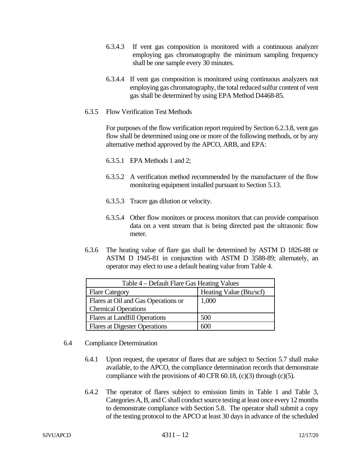- 6.3.4.3 If vent gas composition is monitored with a continuous analyzer employing gas chromatography the minimum sampling frequency shall be one sample every 30 minutes.
- 6.3.4.4 If vent gas composition is monitored using continuous analyzers not employing gas chromatography, the total reduced sulfur content of vent gas shall be determined by using EPA Method D4468-85.
- 6.3.5 Flow Verification Test Methods

For purposes of the flow verification report required by Section 6.2.3.8, vent gas flow shall be determined using one or more of the following methods, or by any alternative method approved by the APCO, ARB, and EPA:

- 6.3.5.1 EPA Methods 1 and 2;
- 6.3.5.2 A verification method recommended by the manufacturer of the flow monitoring equipment installed pursuant to Section 5.13.
- 6.3.5.3 Tracer gas dilution or velocity.
- 6.3.5.4 Other flow monitors or process monitors that can provide comparison data on a vent stream that is being directed past the ultrasonic flow meter.
- 6.3.6 The heating value of flare gas shall be determined by ASTM D 1826-88 or ASTM D 1945-81 in conjunction with ASTM D 3588-89; alternately, an operator may elect to use a default heating value from Table 4.

| Table 4 – Default Flare Gas Heating Values |                         |
|--------------------------------------------|-------------------------|
| <b>Flare Category</b>                      | Heating Value (Btu/scf) |
| Flares at Oil and Gas Operations or        | 1,000                   |
| <b>Chemical Operations</b>                 |                         |
| Flares at Landfill Operations              | 500                     |
| Flares at Digester Operations              | 600                     |

- 6.4 Compliance Determination
	- 6.4.1 Upon request, the operator of flares that are subject to Section 5.7 shall make available, to the APCO, the compliance determination records that demonstrate compliance with the provisions of 40 CFR 60.18, (c)(3) through (c)(5).
	- 6.4.2 The operator of flares subject to emission limits in Table 1 and Table 3, Categories A, B, and C shall conduct source testing at least once every 12 months to demonstrate compliance with Section 5.8. The operator shall submit a copy of the testing protocol to the APCO at least 30 days in advance of the scheduled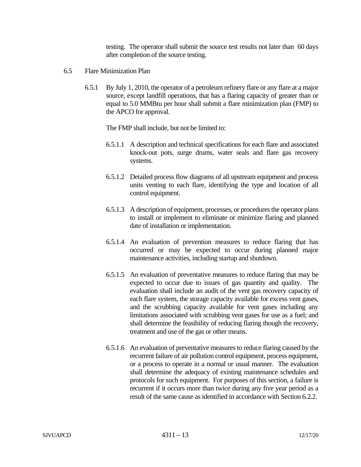testing. The operator shall submit the source test results not later than 60 days after completion of the source testing.

- 6.5 Flare Minimization Plan
	- 6.5.1 By July 1, 2010, the operator of a petroleum refinery flare or any flare at a major source, except landfill operations, that has a flaring capacity of greater than or equal to 5.0 MMBtu per hour shall submit a flare minimization plan (FMP) to the APCO for approval.

The FMP shall include, but not be limited to:

- 6.5.1.1 A description and technical specifications for each flare and associated knock-out pots, surge drums, water seals and flare gas recovery systems.
- 6.5.1.2 Detailed process flow diagrams of all upstream equipment and process units venting to each flare, identifying the type and location of all control equipment.
- 6.5.1.3 A description of equipment, processes, or procedures the operator plans to install or implement to eliminate or minimize flaring and planned date of installation or implementation.
- 6.5.1.4 An evaluation of prevention measures to reduce flaring that has occurred or may be expected to occur during planned major maintenance activities, including startup and shutdown.
- 6.5.1.5 An evaluation of preventative measures to reduce flaring that may be expected to occur due to issues of gas quantity and quality. The evaluation shall include an audit of the vent gas recovery capacity of each flare system, the storage capacity available for excess vent gases, and the scrubbing capacity available for vent gases including any limitations associated with scrubbing vent gases for use as a fuel; and shall determine the feasibility of reducing flaring though the recovery, treatment and use of the gas or other means.
- 6.5.1.6 An evaluation of preventative measures to reduce flaring caused by the recurrent failure of air pollution control equipment, process equipment, or a process to operate in a normal or usual manner. The evaluation shall determine the adequacy of existing maintenance schedules and protocols for such equipment. For purposes of this section, a failure is recurrent if it occurs more than twice during any five year period as a result of the same cause as identified in accordance with Section 6.2.2.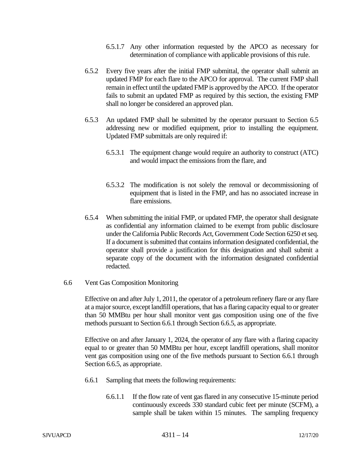- 6.5.1.7 Any other information requested by the APCO as necessary for determination of compliance with applicable provisions of this rule.
- 6.5.2 Every five years after the initial FMP submittal, the operator shall submit an updated FMP for each flare to the APCO for approval. The current FMP shall remain in effect until the updated FMP is approved by the APCO. If the operator fails to submit an updated FMP as required by this section, the existing FMP shall no longer be considered an approved plan.
- 6.5.3 An updated FMP shall be submitted by the operator pursuant to Section 6.5 addressing new or modified equipment, prior to installing the equipment. Updated FMP submittals are only required if:
	- 6.5.3.1 The equipment change would require an authority to construct (ATC) and would impact the emissions from the flare, and
	- 6.5.3.2 The modification is not solely the removal or decommissioning of equipment that is listed in the FMP, and has no associated increase in flare emissions.
- 6.5.4 When submitting the initial FMP, or updated FMP, the operator shall designate as confidential any information claimed to be exempt from public disclosure under the California Public Records Act, Government Code Section 6250 et seq. If a document is submitted that contains information designated confidential, the operator shall provide a justification for this designation and shall submit a separate copy of the document with the information designated confidential redacted.
- 6.6 Vent Gas Composition Monitoring

Effective on and after July 1, 2011, the operator of a petroleum refinery flare or any flare at a major source, except landfill operations, that has a flaring capacity equal to or greater than 50 MMBtu per hour shall monitor vent gas composition using one of the five methods pursuant to Section 6.6.1 through Section 6.6.5, as appropriate.

Effective on and after January 1, 2024, the operator of any flare with a flaring capacity equal to or greater than 50 MMBtu per hour, except landfill operations, shall monitor vent gas composition using one of the five methods pursuant to Section 6.6.1 through Section 6.6.5, as appropriate.

- 6.6.1 Sampling that meets the following requirements:
	- 6.6.1.1 If the flow rate of vent gas flared in any consecutive 15-minute period continuously exceeds 330 standard cubic feet per minute (SCFM), a sample shall be taken within 15 minutes. The sampling frequency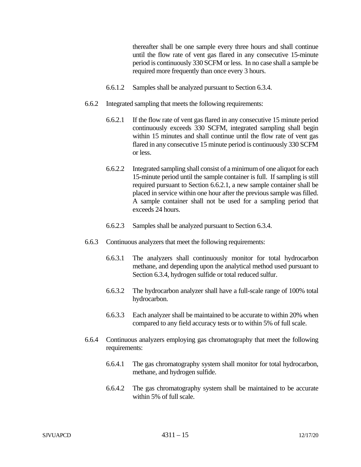thereafter shall be one sample every three hours and shall continue until the flow rate of vent gas flared in any consecutive 15-minute period is continuously 330 SCFM or less. In no case shall a sample be required more frequently than once every 3 hours.

- 6.6.1.2 Samples shall be analyzed pursuant to Section 6.3.4.
- 6.6.2 Integrated sampling that meets the following requirements:
	- 6.6.2.1 If the flow rate of vent gas flared in any consecutive 15 minute period continuously exceeds 330 SCFM, integrated sampling shall begin within 15 minutes and shall continue until the flow rate of vent gas flared in any consecutive 15 minute period is continuously 330 SCFM or less.
	- 6.6.2.2 Integrated sampling shall consist of a minimum of one aliquot for each 15-minute period until the sample container is full. If sampling is still required pursuant to Section 6.6.2.1, a new sample container shall be placed in service within one hour after the previous sample was filled. A sample container shall not be used for a sampling period that exceeds 24 hours.
	- 6.6.2.3 Samples shall be analyzed pursuant to Section 6.3.4.
- 6.6.3 Continuous analyzers that meet the following requirements:
	- 6.6.3.1 The analyzers shall continuously monitor for total hydrocarbon methane, and depending upon the analytical method used pursuant to Section 6.3.4, hydrogen sulfide or total reduced sulfur.
	- 6.6.3.2 The hydrocarbon analyzer shall have a full-scale range of 100% total hydrocarbon.
	- 6.6.3.3 Each analyzer shall be maintained to be accurate to within 20% when compared to any field accuracy tests or to within 5% of full scale.
- 6.6.4 Continuous analyzers employing gas chromatography that meet the following requirements:
	- 6.6.4.1 The gas chromatography system shall monitor for total hydrocarbon, methane, and hydrogen sulfide.
	- 6.6.4.2 The gas chromatography system shall be maintained to be accurate within 5% of full scale.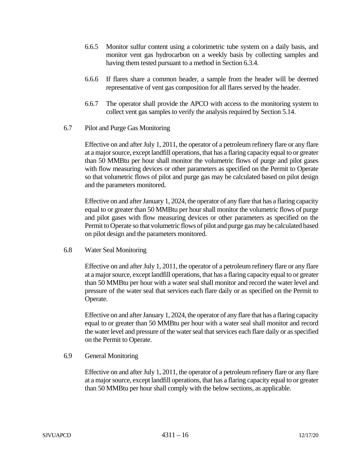- 6.6.5 Monitor sulfur content using a colorimetric tube system on a daily basis, and monitor vent gas hydrocarbon on a weekly basis by collecting samples and having them tested pursuant to a method in Section 6.3.4.
- 6.6.6 If flares share a common header, a sample from the header will be deemed representative of vent gas composition for all flares served by the header.
- 6.6.7 The operator shall provide the APCO with access to the monitoring system to collect vent gas samples to verify the analysis required by Section 5.14.
- 6.7 Pilot and Purge Gas Monitoring

Effective on and after July 1, 2011, the operator of a petroleum refinery flare or any flare at a major source, except landfill operations, that has a flaring capacity equal to or greater than 50 MMBtu per hour shall monitor the volumetric flows of purge and pilot gases with flow measuring devices or other parameters as specified on the Permit to Operate so that volumetric flows of pilot and purge gas may be calculated based on pilot design and the parameters monitored.

Effective on and after January 1, 2024, the operator of any flare that has a flaring capacity equal to or greater than 50 MMBtu per hourshall monitor the volumetric flows of purge and pilot gases with flow measuring devices or other parameters as specified on the Permit to Operate so that volumetric flows of pilot and purge gas may be calculated based on pilot design and the parameters monitored.

6.8 Water Seal Monitoring

Effective on and after July 1, 2011, the operator of a petroleum refinery flare or any flare at a major source, except landfill operations, that has a flaring capacity equal to or greater than 50 MMBtu per hour with a water seal shall monitor and record the water level and pressure of the water seal that services each flare daily or as specified on the Permit to Operate.

Effective on and after January 1, 2024, the operator of any flare that has a flaring capacity equal to or greater than 50 MMBtu per hour with a water seal shall monitor and record the water level and pressure of the water seal that services each flare daily or as specified on the Permit to Operate.

#### 6.9 General Monitoring

Effective on and after July 1, 2011, the operator of a petroleum refinery flare or any flare at a major source, except landfill operations, that has a flaring capacity equal to or greater than 50 MMBtu per hour shall comply with the below sections, as applicable.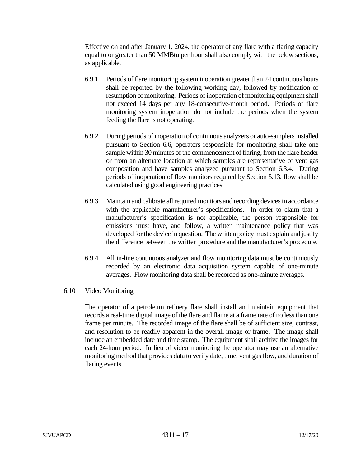Effective on and after January 1, 2024, the operator of any flare with a flaring capacity equal to or greater than 50 MMBtu per hour shall also comply with the below sections, as applicable.

- 6.9.1 Periods of flare monitoring system inoperation greater than 24 continuous hours shall be reported by the following working day, followed by notification of resumption of monitoring. Periods of inoperation of monitoring equipment shall not exceed 14 days per any 18-consecutive-month period. Periods of flare monitoring system inoperation do not include the periods when the system feeding the flare is not operating.
- 6.9.2 During periods of inoperation of continuous analyzers or auto-samplers installed pursuant to Section 6.6, operators responsible for monitoring shall take one sample within 30 minutes of the commencement of flaring, from the flare header or from an alternate location at which samples are representative of vent gas composition and have samples analyzed pursuant to Section 6.3.4. During periods of inoperation of flow monitors required by Section 5.13, flow shall be calculated using good engineering practices.
- 6.9.3 Maintain and calibrate all required monitors and recording devices in accordance with the applicable manufacturer's specifications. In order to claim that a manufacturer's specification is not applicable, the person responsible for emissions must have, and follow, a written maintenance policy that was developed for the device in question. The written policy must explain and justify the difference between the written procedure and the manufacturer's procedure.
- 6.9.4 All in-line continuous analyzer and flow monitoring data must be continuously recorded by an electronic data acquisition system capable of one-minute averages. Flow monitoring data shall be recorded as one-minute averages.

## 6.10 Video Monitoring

The operator of a petroleum refinery flare shall install and maintain equipment that records a real-time digital image of the flare and flame at a frame rate of no less than one frame per minute. The recorded image of the flare shall be of sufficient size, contrast, and resolution to be readily apparent in the overall image or frame. The image shall include an embedded date and time stamp. The equipment shall archive the images for each 24-hour period. In lieu of video monitoring the operator may use an alternative monitoring method that provides data to verify date, time, vent gas flow, and duration of flaring events.